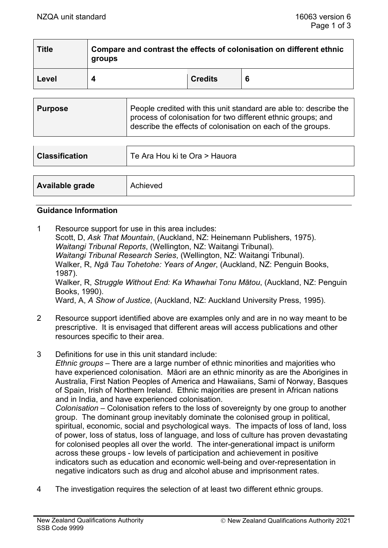| <b>Title</b> | Compare and contrast the effects of colonisation on different ethnic<br>groups |                |   |
|--------------|--------------------------------------------------------------------------------|----------------|---|
| Level        |                                                                                | <b>Credits</b> | 6 |

| <b>Purpose</b> | People credited with this unit standard are able to: describe the<br>process of colonisation for two different ethnic groups; and<br>describe the effects of colonisation on each of the groups. |
|----------------|--------------------------------------------------------------------------------------------------------------------------------------------------------------------------------------------------|
|----------------|--------------------------------------------------------------------------------------------------------------------------------------------------------------------------------------------------|

| <b>Classification</b> | Te Ara Hou ki te Ora > Hauora |  |
|-----------------------|-------------------------------|--|
|                       |                               |  |
| Available grade       | Achieved                      |  |

#### **Guidance Information**

- 1 Resource support for use in this area includes: Scott, D, *Ask That Mountain*, (Auckland, NZ: Heinemann Publishers, 1975). *Waitangi Tribunal Reports*, (Wellington, NZ: Waitangi Tribunal). *Waitangi Tribunal Research Series*, (Wellington, NZ: Waitangi Tribunal). Walker, R, *Ngā Tau Tohetohe: Years of Anger*, (Auckland, NZ: Penguin Books, 1987). Walker, R, *Struggle Without End: Ka Whawhai Tonu Mātou*, (Auckland, NZ: Penguin Books, 1990). Ward, A, *A Show of Justice*, (Auckland, NZ: Auckland University Press, 1995).
- 2 Resource support identified above are examples only and are in no way meant to be prescriptive. It is envisaged that different areas will access publications and other resources specific to their area.
- 3 Definitions for use in this unit standard include:

*Ethnic groups* – There are a large number of ethnic minorities and majorities who have experienced colonisation. Māori are an ethnic minority as are the Aborigines in Australia, First Nation Peoples of America and Hawaiians, Sami of Norway, Basques of Spain, Irish of Northern Ireland. Ethnic majorities are present in African nations and in India, and have experienced colonisation.

*Colonisation* – Colonisation refers to the loss of sovereignty by one group to another group. The dominant group inevitably dominate the colonised group in political, spiritual, economic, social and psychological ways. The impacts of loss of land, loss of power, loss of status, loss of language, and loss of culture has proven devastating for colonised peoples all over the world. The inter-generational impact is uniform across these groups - low levels of participation and achievement in positive indicators such as education and economic well-being and over-representation in negative indicators such as drug and alcohol abuse and imprisonment rates.

4 The investigation requires the selection of at least two different ethnic groups.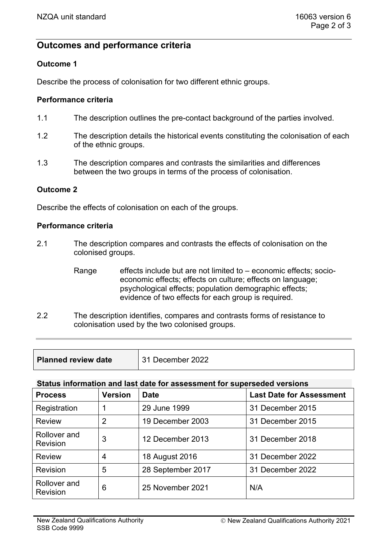# **Outcomes and performance criteria**

# **Outcome 1**

Describe the process of colonisation for two different ethnic groups.

## **Performance criteria**

- 1.1 The description outlines the pre-contact background of the parties involved.
- 1.2 The description details the historical events constituting the colonisation of each of the ethnic groups.
- 1.3 The description compares and contrasts the similarities and differences between the two groups in terms of the process of colonisation.

#### **Outcome 2**

Describe the effects of colonisation on each of the groups.

#### **Performance criteria**

- 2.1 The description compares and contrasts the effects of colonisation on the colonised groups.
	- Range effects include but are not limited to  $-$  economic effects; socioeconomic effects; effects on culture; effects on language; psychological effects; population demographic effects; evidence of two effects for each group is required.
- 2.2 The description identifies, compares and contrasts forms of resistance to colonisation used by the two colonised groups.

| <b>Planned review date</b> | December 2022 |
|----------------------------|---------------|
|                            |               |

## **Status information and last date for assessment for superseded versions**

| <b>Process</b>                  | <b>Version</b> | <b>Date</b>       | <b>Last Date for Assessment</b> |
|---------------------------------|----------------|-------------------|---------------------------------|
| Registration                    |                | 29 June 1999      | 31 December 2015                |
| <b>Review</b>                   | 2              | 19 December 2003  | 31 December 2015                |
| Rollover and<br><b>Revision</b> | 3              | 12 December 2013  | 31 December 2018                |
| <b>Review</b>                   | 4              | 18 August 2016    | 31 December 2022                |
| Revision                        | 5              | 28 September 2017 | 31 December 2022                |
| Rollover and<br><b>Revision</b> | 6              | 25 November 2021  | N/A                             |